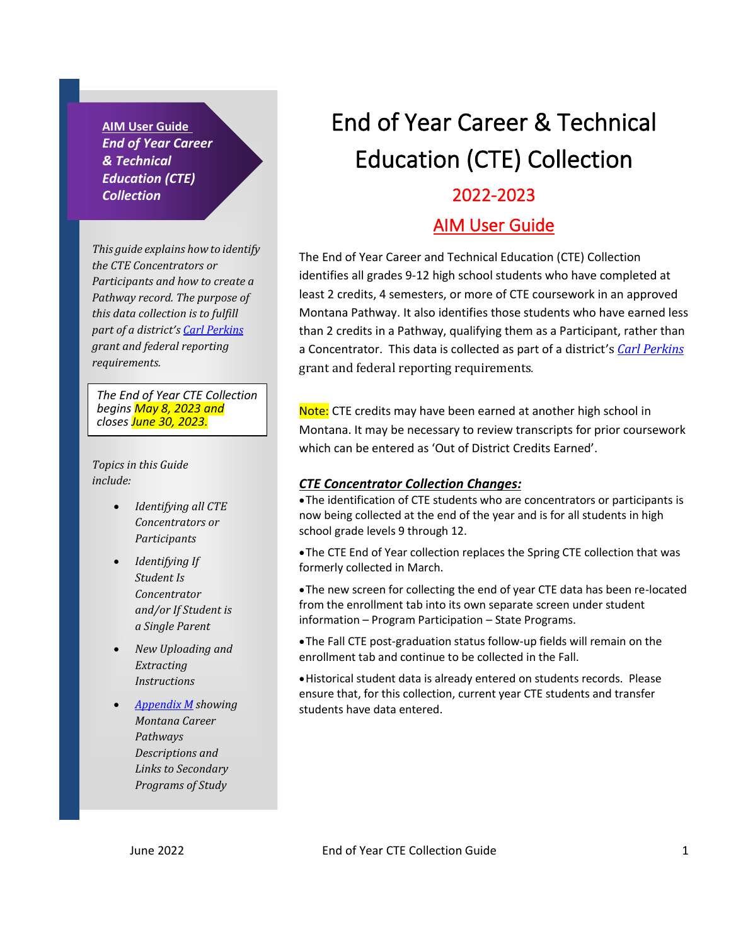**AIM User Guide** *End of Year Career & Technical Education (CTE) Collection*

*This guide explains how to identify the CTE Concentrators or Participants and how to create a Pathway record. The purpose of this data collection is to fulfill part of a district'[s Carl Perkins](https://www2.ed.gov/policy/sectech/leg/perkins/index.html) grant and federal reporting requirements.*

*The End of Year CTE Collection begins May 8, 2023 and closes June 30, 2023.*

*Topics in this Guide include:*

- *Identifying all CTE Concentrators or Participants*
- *Identifying If Student Is Concentrator and/or If Student is a Single Parent*
- *New Uploading and Extracting Instructions*
- *[Appendix M](#page-5-0) showing Montana Career Pathways Descriptions and Links to Secondary Programs of Study*

# End of Year Career & Technical Education (CTE) Collection

#### 2022-2023

#### AIM User Guide

The End of Year Career and Technical Education (CTE) Collection identifies all grades 9-12 high school students who have completed at least 2 credits, 4 semesters, or more of CTE coursework in an approved Montana Pathway. It also identifies those students who have earned less than 2 credits in a Pathway, qualifying them as a Participant, rather than a Concentrator. This data is collected as part of a district's *[Carl Perkins](https://www2.ed.gov/policy/sectech/leg/perkins/index.html)* grant and federal reporting requirements*.*

Note: CTE credits may have been earned at another high school in Montana. It may be necessary to review transcripts for prior coursework which can be entered as 'Out of District Credits Earned'.

#### *CTE Concentrator Collection Changes:*

•The identification of CTE students who are concentrators or participants is now being collected at the end of the year and is for all students in high school grade levels 9 through 12.

•The CTE End of Year collection replaces the Spring CTE collection that was formerly collected in March.

•The new screen for collecting the end of year CTE data has been re-located from the enrollment tab into its own separate screen under student information – Program Participation – State Programs.

•The Fall CTE post-graduation status follow-up fields will remain on the enrollment tab and continue to be collected in the Fall.

•Historical student data is already entered on students records. Please ensure that, for this collection, current year CTE students and transfer students have data entered.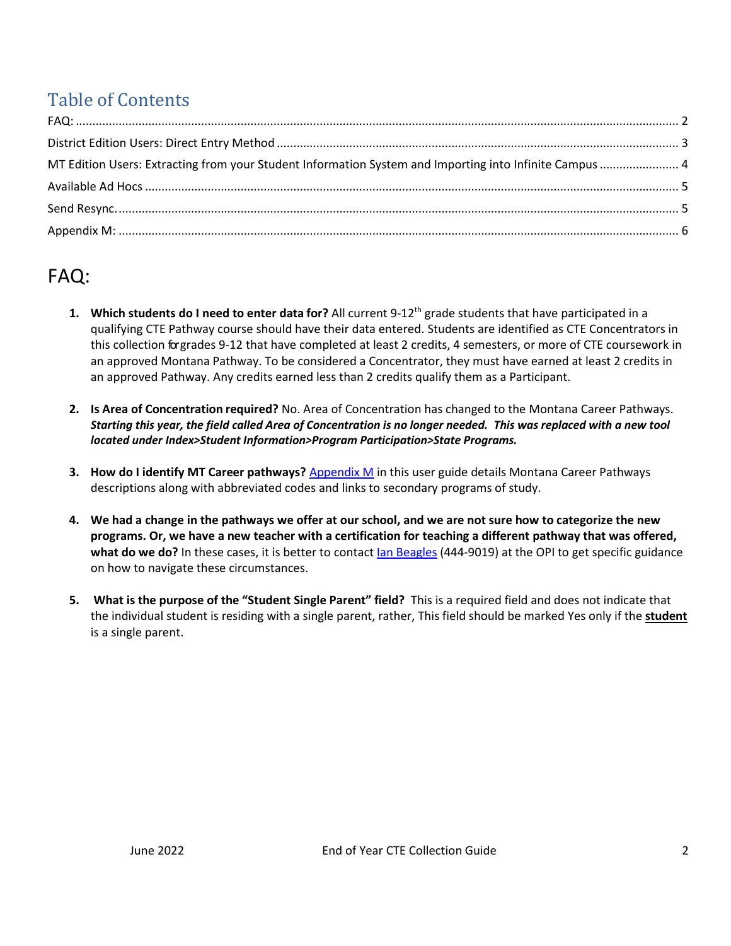## Table of Contents

| MT Edition Users: Extracting from your Student Information System and Importing into Infinite Campus  4 |  |
|---------------------------------------------------------------------------------------------------------|--|
|                                                                                                         |  |
|                                                                                                         |  |
|                                                                                                         |  |

## <span id="page-1-0"></span>FAQ:

- **1. Which students do I need to enter data for?** All current 9-12th grade students that have participated in a qualifying CTE Pathway course should have their data entered. Students are identified as CTE Concentrators in this collection forgrades 9-12 that have completed at least 2 credits, 4 semesters, or more of CTE coursework in an approved Montana Pathway. To be considered a Concentrator, they must have earned at least 2 credits in an approved Pathway. Any credits earned less than 2 credits qualify them as a Participant.
- **2. Is Area of Concentration required?** No. Area of Concentration has changed to the Montana Career Pathways. *Starting this year, the field called Area of Concentration is no longer needed. This was replaced with a new tool located under Index>Student Information>Program Participation>State Programs.*
- **3. How do I identify MT Career pathways?** [Appendix M](#page-5-0) in this user guide details Montana Career Pathways descriptions along with abbreviated codes and links to secondary programs of study.
- **4. We had a change in the pathways we offer at our school, and we are not sure how to categorize the new programs. Or, we have a new teacher with a certification for teaching a different pathway that was offered, what do we do?** In these cases, it is better to contac[t Ian Beagles](mailto:Ian.Beagles@mt.gov) (444-9019) at the OPI to get specific guidance on how to navigate these circumstances.
- **5. What is the purpose of the "Student Single Parent" field?** This is a required field and does not indicate that the individual student is residing with a single parent, rather, This field should be marked Yes only if the **student** is a single parent.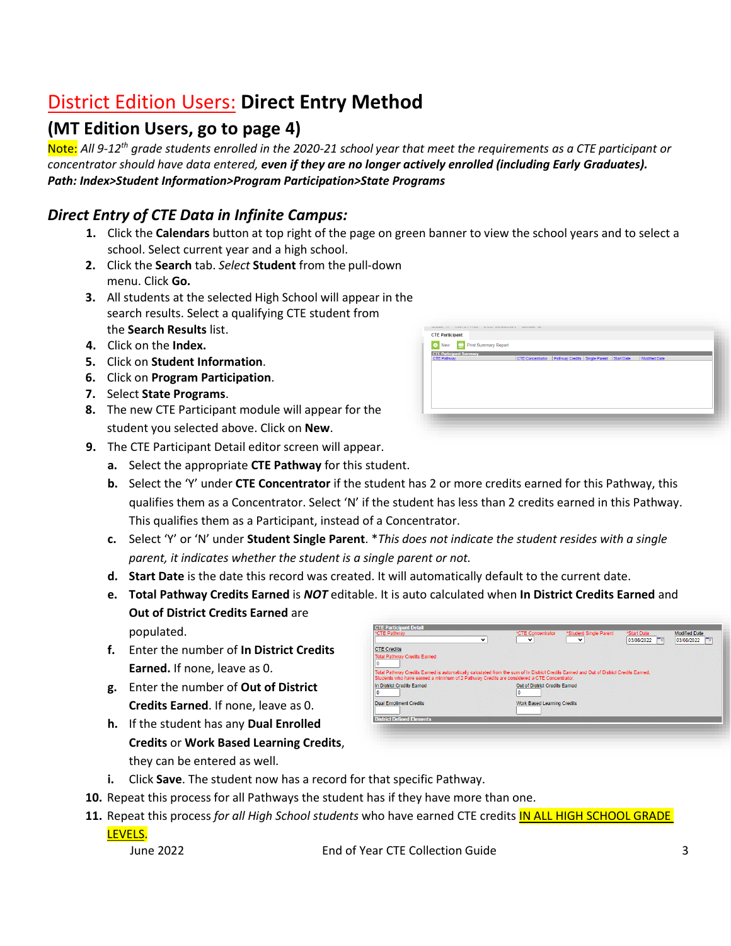## <span id="page-2-0"></span>District Edition Users: **Direct Entry Method**

### **(MT Edition Users, go to page 4)**

Note: *All 9-12th grade students enrolled in the 2020-21 school year that meet the requirements as a CTE participant or concentrator should have data entered, even if they are no longer actively enrolled (including Early Graduates). Path: Index>Student Information>Program Participation>State Programs*

#### *Direct Entry of CTE Data in Infinite Campus:*

- **1.** Click the **Calendars** button at top right of the page on green banner to view the school years and to select a school. Select current year and a high school.
- **2.** Click the **Search** tab. *Select* **Student** from the pull-down menu. Click **Go.**
- **3.** All students at the selected High School will appear in the search results. Select a qualifying CTE student from the **Search Results** list.
- **4.** Click on the **Index.**
- **5.** Click on **Student Information**.
- **6.** Click on **Program Participation**.
- **7.** Select **State Programs**.
- **8.** The new CTE Participant module will appear for the student you selected above. Click on **New**.
- **9.** The CTE Participant Detail editor screen will appear.
	- **a.** Select the appropriate **CTE Pathway** for this student.
	- **b.** Select the 'Y' under **CTE Concentrator** if the student has 2 or more credits earned for this Pathway, this qualifies them as a Concentrator. Select 'N' if the student has less than 2 credits earned in this Pathway. This qualifies them as a Participant, instead of a Concentrator.
	- **c.** Select 'Y' or 'N' under **Student Single Parent**. \**This does not indicate the student resides with a single parent, it indicates whether the student is a single parent or not.*
	- **d. Start Date** is the date this record was created. It will automatically default to the current date.
	- **e. Total Pathway Credits Earned** is *NOT* editable. It is auto calculated when **In District Credits Earned** and **Out of District Credits Earned** are

populated.

- **f.** Enter the number of **In District Credits Earned.** If none, leave as 0.
- **g.** Enter the number of **Out of District Credits Earned**. If none, leave as 0.
- **h.** If the student has any **Dual Enrolled Credits** or **Work Based Learning Credits**, they can be entered as well.

| *CTE Pathway                                                                                                                                                                                                                          | *CTE Concentrator<br>$\checkmark$<br>$\check{ }$ | *Student Single Parent<br>$\checkmark$ | *Start Date<br>$\mathbf{r}_{\mathbf{u}}$<br>03/08/2022 | Modified Date<br>03/08/2022<br>n |
|---------------------------------------------------------------------------------------------------------------------------------------------------------------------------------------------------------------------------------------|--------------------------------------------------|----------------------------------------|--------------------------------------------------------|----------------------------------|
| <b>CTE Credits</b>                                                                                                                                                                                                                    |                                                  |                                        |                                                        |                                  |
| <b>Total Pathway Credits Earned</b>                                                                                                                                                                                                   |                                                  |                                        |                                                        |                                  |
| Total Pathway Credits Earned is automatically calculated from the sum of In District Credits Earned and Out of District Credits Earned.<br>Students who have earned a minimum of 2 Pathway Credits are considered a CTE Concentrator. |                                                  |                                        |                                                        |                                  |
| In District Credits Farned                                                                                                                                                                                                            |                                                  | Out of District Credits Farned         |                                                        |                                  |
| <b>Dual Enrollment Credits</b>                                                                                                                                                                                                        |                                                  | <b>Work Based Learning Credits</b>     |                                                        |                                  |
|                                                                                                                                                                                                                                       |                                                  |                                        |                                                        |                                  |

- **i.** Click **Save**. The student now has a record for that specific Pathway.
- **10.** Repeat this process for all Pathways the student has if they have more than one.
- 11. Repeat this process for all *High School students* who have earned CTE credits **IN ALL HIGH SCHOOL GRADE** LEVELS.

June 2022 End of Year CTE Collection Guide 3

**CTE Participant** New **C** Print Summary Report **CTE Participant St**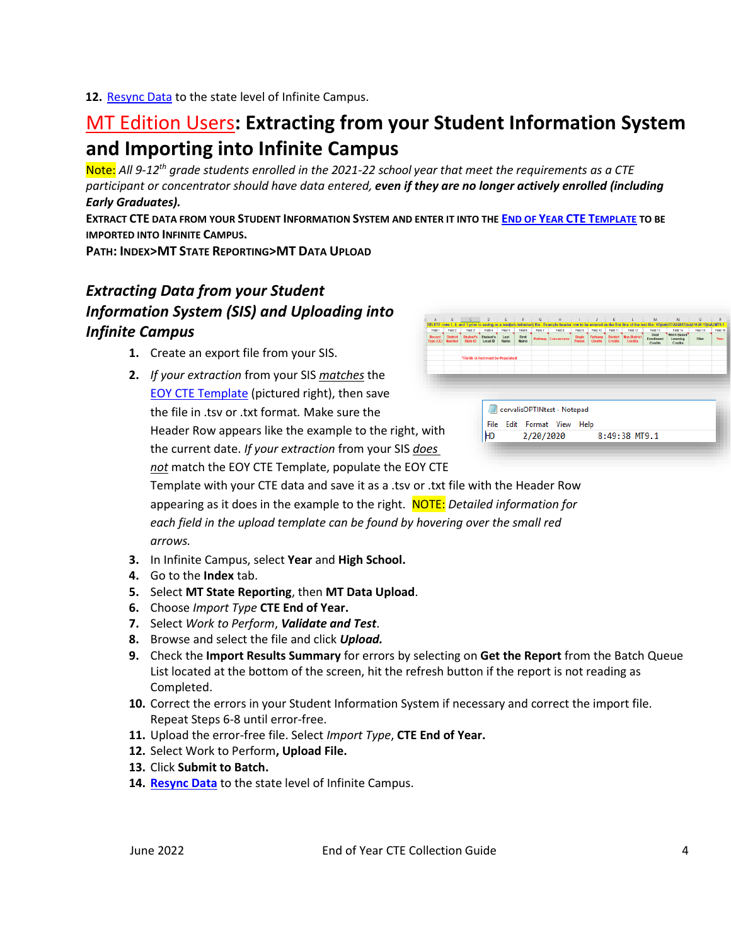**12.** Resync Data to the state level of Infinite Campus.

## <span id="page-3-0"></span>MT Edition Users**: Extracting from your Student Information System and Importing into Infinite Campus**

Note: *All 9-12th grade students enrolled in the 2021-22 school year that meet the requirements as a CTE participant or concentrator should have data entered, even if they are no longer actively enrolled (including Early Graduates).*

EXTRACT CTE DATA FROM YOUR STUDENT INFORMATION SYSTEM AND ENTER IT INTO THE END OF YEAR CTE T[EMPLATE](http://opi.mt.gov/Portals/182/Page%20Files/AIM/3%20AIM%20UPLOAD%20TEMPLATES/EOY%20CTE%20Template.xlsx?ver=2021-03-05-100147-377) TO BE **IMPORTED INTO INFINITE CAMPUS.**

**PATH: INDEX>MT STATE REPORTING>MT DATA UPLOAD**

#### *Extracting Data from your Student Information System (SIS) and Uploading into Infinite Campus*

- **1.** Create an export file from your SIS.
- **2.** *If your extraction* from your SIS *matches* the [EOY CTE Template](http://opi.mt.gov/Portals/182/Page%20Files/AIM/3%20AIM%20UPLOAD%20TEMPLATES/EOY%20CTE%20Template.xlsx?ver=2021-03-05-100147-377) (pictured right), then save the file in .tsv or .txt format*.* Make sure the Header Row appears like the example to the right, with the current date. *If your extraction* from your SIS *does not* match the EOY CTE Template, populate the EOY CTE

| $\Delta$                                                                                                | R                                | $\epsilon$                       | D                     |                     |                      | G       | н                    |                  |                           | κ                                 |                                       | M                                                                                                                                                                                   | $\mathbb N$                              | $\circ$  | P        |
|---------------------------------------------------------------------------------------------------------|----------------------------------|----------------------------------|-----------------------|---------------------|----------------------|---------|----------------------|------------------|---------------------------|-----------------------------------|---------------------------------------|-------------------------------------------------------------------------------------------------------------------------------------------------------------------------------------|------------------------------------------|----------|----------|
|                                                                                                         |                                  |                                  |                       |                     |                      |         |                      |                  |                           |                                   |                                       | LETE rows 1, 2, and 3 prior to saving as a textitab delimited) file - Example header row to be entered as the first line of the text file: HD/tabi07/22/2017/tabi10:20:15/tabiMT9.1 |                                          |          |          |
| Field 1                                                                                                 | Field 2                          | Field 3                          | Field 4               | Field 5             | Field 6              | Field 7 | Field 8              | Field 9          | Field 10                  | Field 11                          | Field 12                              | Field 13                                                                                                                                                                            | Field 14                                 | Field 15 | Field 16 |
| lecord<br>pe (CE)                                                                                       | <b>District</b><br><b>Number</b> | <b>Student's</b><br>State ID     | Student's<br>Local ID | Last<br><b>Name</b> | First<br><b>Name</b> |         | Pathway Concentrator | Single<br>Parent | Pathway<br><b>Credits</b> | <b>District</b><br><b>Credits</b> | <b>Non-District</b><br><b>Credits</b> | Dual<br><b>Enrollment</b><br><b>Credits</b>                                                                                                                                         | <b>Work Based</b><br>Learning<br>Credits | Filler   | Year     |
|                                                                                                         |                                  | *Fields in Red must be Populated |                       |                     |                      |         |                      |                  |                           |                                   |                                       |                                                                                                                                                                                     |                                          |          |          |
|                                                                                                         |                                  |                                  |                       |                     |                      |         |                      |                  |                           |                                   |                                       |                                                                                                                                                                                     |                                          |          |          |
| corvalisOPTINtest - Notepad<br>File Edit Format View<br>Help<br>ith<br>2/20/2020<br>HD<br>8:49:38 MT9.1 |                                  |                                  |                       |                     |                      |         |                      |                  |                           |                                   |                                       |                                                                                                                                                                                     |                                          |          |          |
| vς                                                                                                      |                                  |                                  |                       |                     |                      |         |                      |                  |                           |                                   |                                       |                                                                                                                                                                                     |                                          |          |          |

Template with your CTE data and save it as a .tsv or .txt file with the Header Row appearing as it does in the example to the right. NOTE: *Detailed information for each field in the upload template can be found by hovering over the small red arrows.* 

- **3.** In Infinite Campus, select **Year** and **High School.**
- **4.** Go to the **Index** tab.
- **5.** Select **MT State Reporting**, then **MT Data Upload**.
- **6.** Choose *Import Type* **CTE End of Year.**
- **7.** Select *Work to Perform*, *Validate and Test*.
- **8.** Browse and select the file and click *Upload.*
- **9.** Check the **Import Results Summary** for errors by selecting on **Get the Report** from the Batch Queue List located at the bottom of the screen, hit the refresh button if the report is not reading as Completed.
- **10.** Correct the errors in your Student Information System if necessary and correct the import file. Repeat Steps 6-8 until error-free.
- **11.** Upload the error-free file. Select *Import Type*, **CTE End of Year.**
- **12.** Select Work to Perform**, Upload File.**
- **13.** Click **Submit to Batch.**
- **14. Resync Data** to the state level of Infinite Campus.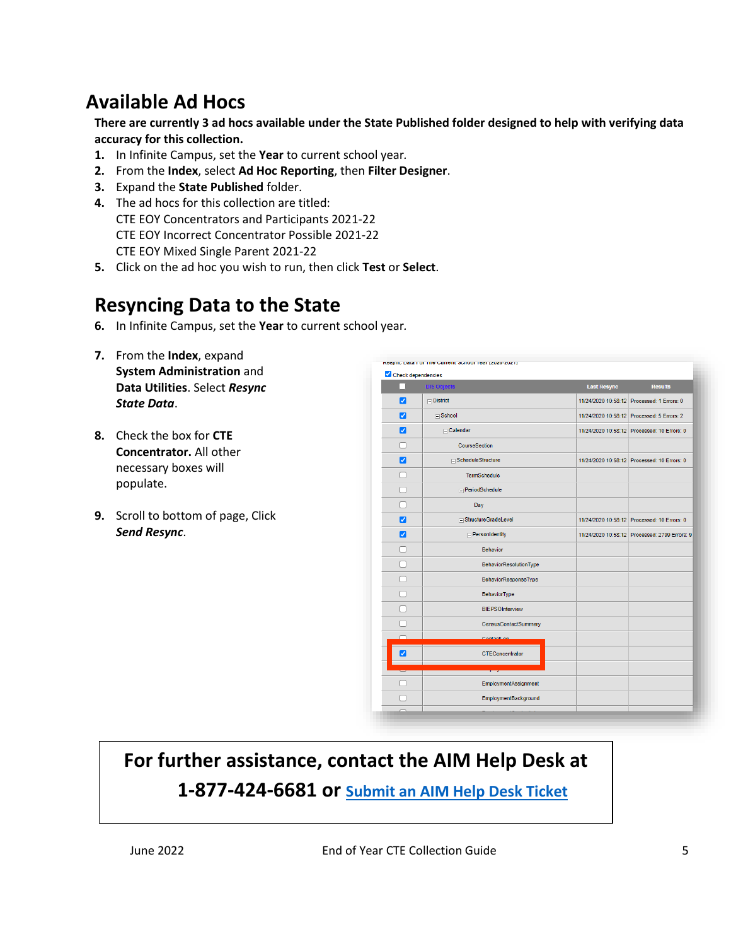## <span id="page-4-0"></span>**Available Ad Hocs**

**There are currently 3 ad hocs available under the State Published folder designed to help with verifying data accuracy for this collection.** 

- **1.** In Infinite Campus, set the **Year** to current school year*.*
- **2.** From the **Index**, select **Ad Hoc Reporting**, then **Filter Designer**.
- **3.** Expand the **State Published** folder.
- **4.** The ad hocs for this collection are titled: CTE EOY Concentrators and Participants 2021-22 CTE EOY Incorrect Concentrator Possible 2021-22 CTE EOY Mixed Single Parent 2021-22
- **5.** Click on the ad hoc you wish to run, then click **Test** or **Select**.

### **Resyncing Data to the State**

- **6.** In Infinite Campus, set the **Year** to current school year*.*
- **7.** From the **Index**, expand **System Administration** and **Data Utilities**. Select *Resync State Data*.
- **8.** Check the box for **CTE Concentrator.** All other necessary boxes will populate.
- <span id="page-4-1"></span>**9.** Scroll to bottom of page, Click *Send Resync*.

|                                          | Check dependencies            |                    |                                               |
|------------------------------------------|-------------------------------|--------------------|-----------------------------------------------|
|                                          | <b>DIS Objects</b>            | <b>Last Resync</b> | <b>Results</b>                                |
| Ø                                        | $\Box$ District               |                    | 11/24/2020 10:58:12 Processed: 1 Errors: 0    |
| $\left  \boldsymbol{\mathit{v}} \right $ | $\Box$ School                 |                    | 11/24/2020 10:58:12 Processed: 5 Errors: 2    |
| ☑                                        | $\Box$ Calendar               |                    | 11/24/2020 10:58:12 Processed: 10 Errors: 0   |
|                                          | CourseSection                 |                    |                                               |
| ⊽                                        | ScheduleStructure             |                    | 11/24/2020 10:58:12 Processed: 10 Errors: 0   |
|                                          | <b>TermSchedule</b>           |                    |                                               |
|                                          | $\Box$ PeriodSchedule         |                    |                                               |
|                                          | Day                           |                    |                                               |
| ☑                                        | □ StructureGradeLevel         |                    | 11/24/2020 10:58:12 Processed: 10 Errors: 0   |
| ✓                                        | $\Box$ PersonIdentity         |                    | 11/24/2020 10:58:12 Processed: 2799 Errors: 9 |
|                                          | <b>Behavior</b>               |                    |                                               |
|                                          | <b>BehaviorResolutionType</b> |                    |                                               |
|                                          | BehaviorResponseType          |                    |                                               |
|                                          | <b>BehaviorType</b>           |                    |                                               |
|                                          | <b>BIEPSOInterview</b>        |                    |                                               |
|                                          | <b>CensusContactSummary</b>   |                    |                                               |
|                                          | ContactLog                    |                    |                                               |
| ☑                                        | CTEConcentrator               |                    |                                               |
|                                          |                               |                    |                                               |
|                                          | <b>EmploymentAssignment</b>   |                    |                                               |
|                                          | EmploymentBackground          |                    |                                               |

## **For further assistance, contact the AIM Help Desk at**

**1-877-424-6681 or [Submit an AIM Help Desk Ticket](https://opiservicedesk.opi.mt.gov/help/servicedesk/customer/portal/7/user/login?nosaml&destination=portal/7)**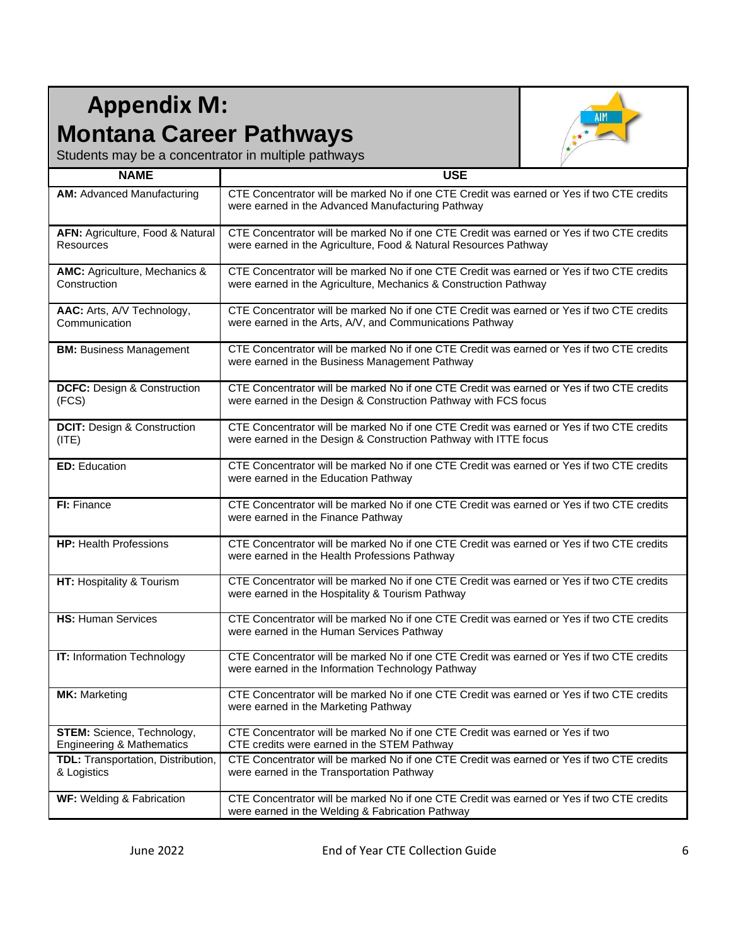## <span id="page-5-0"></span>**Appendix M: Montana Career Pathways**



Students may be a concentrator in multiple pathways

| <b>NAME</b>                                                        | <b>USE</b>                                                                                                                                                    |
|--------------------------------------------------------------------|---------------------------------------------------------------------------------------------------------------------------------------------------------------|
| <b>AM: Advanced Manufacturing</b>                                  | CTE Concentrator will be marked No if one CTE Credit was earned or Yes if two CTE credits<br>were earned in the Advanced Manufacturing Pathway                |
| AFN: Agriculture, Food & Natural<br>Resources                      | CTE Concentrator will be marked No if one CTE Credit was earned or Yes if two CTE credits<br>were earned in the Agriculture, Food & Natural Resources Pathway |
| <b>AMC:</b> Agriculture, Mechanics &<br>Construction               | CTE Concentrator will be marked No if one CTE Credit was earned or Yes if two CTE credits<br>were earned in the Agriculture, Mechanics & Construction Pathway |
| AAC: Arts, A/V Technology,<br>Communication                        | CTE Concentrator will be marked No if one CTE Credit was earned or Yes if two CTE credits<br>were earned in the Arts, A/V, and Communications Pathway         |
| <b>BM: Business Management</b>                                     | CTE Concentrator will be marked No if one CTE Credit was earned or Yes if two CTE credits<br>were earned in the Business Management Pathway                   |
| <b>DCFC: Design &amp; Construction</b><br>(FCS)                    | CTE Concentrator will be marked No if one CTE Credit was earned or Yes if two CTE credits<br>were earned in the Design & Construction Pathway with FCS focus  |
| <b>DCIT: Design &amp; Construction</b><br>(ITE)                    | CTE Concentrator will be marked No if one CTE Credit was earned or Yes if two CTE credits<br>were earned in the Design & Construction Pathway with ITTE focus |
| <b>ED:</b> Education                                               | CTE Concentrator will be marked No if one CTE Credit was earned or Yes if two CTE credits<br>were earned in the Education Pathway                             |
| FI: Finance                                                        | CTE Concentrator will be marked No if one CTE Credit was earned or Yes if two CTE credits<br>were earned in the Finance Pathway                               |
| <b>HP: Health Professions</b>                                      | CTE Concentrator will be marked No if one CTE Credit was earned or Yes if two CTE credits<br>were earned in the Health Professions Pathway                    |
| HT: Hospitality & Tourism                                          | CTE Concentrator will be marked No if one CTE Credit was earned or Yes if two CTE credits<br>were earned in the Hospitality & Tourism Pathway                 |
| <b>HS: Human Services</b>                                          | CTE Concentrator will be marked No if one CTE Credit was earned or Yes if two CTE credits<br>were earned in the Human Services Pathway                        |
| <b>IT:</b> Information Technology                                  | CTE Concentrator will be marked No if one CTE Credit was earned or Yes if two CTE credits<br>were earned in the Information Technology Pathway                |
| <b>MK: Marketing</b>                                               | CTE Concentrator will be marked No if one CTE Credit was earned or Yes if two CTE credits<br>were earned in the Marketing Pathway                             |
| STEM: Science, Technology,<br><b>Engineering &amp; Mathematics</b> | CTE Concentrator will be marked No if one CTE Credit was earned or Yes if two<br>CTE credits were earned in the STEM Pathway                                  |
| TDL: Transportation, Distribution,<br>& Logistics                  | CTE Concentrator will be marked No if one CTE Credit was earned or Yes if two CTE credits<br>were earned in the Transportation Pathway                        |
| WF: Welding & Fabrication                                          | CTE Concentrator will be marked No if one CTE Credit was earned or Yes if two CTE credits<br>were earned in the Welding & Fabrication Pathway                 |